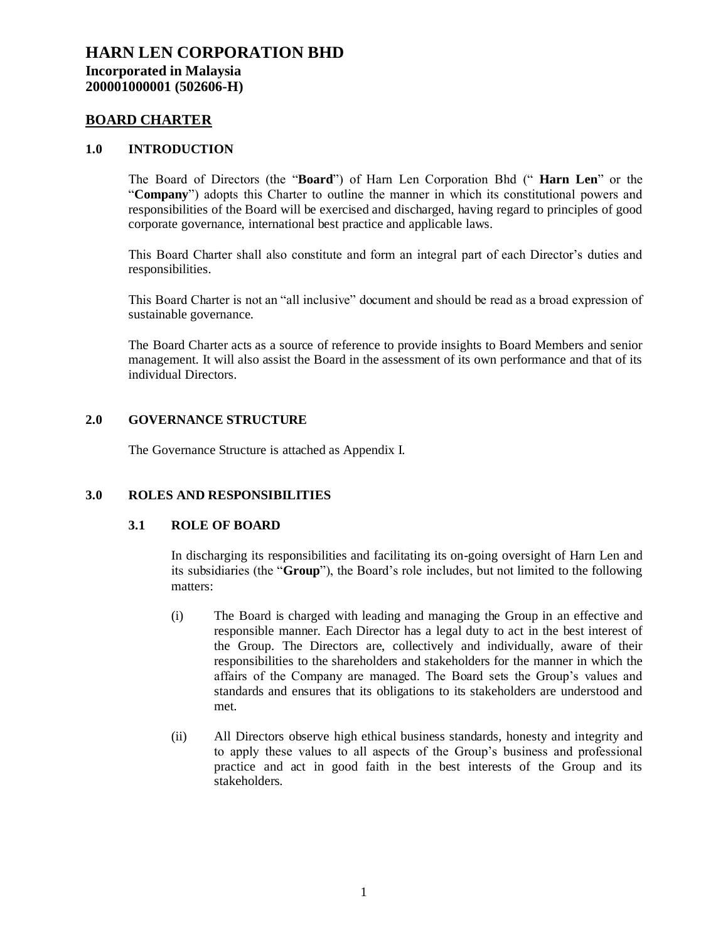#### **BOARD CHARTER**

#### **1.0 INTRODUCTION**

The Board of Directors (the "**Board**") of Harn Len Corporation Bhd (" **Harn Len**" or the "**Company**") adopts this Charter to outline the manner in which its constitutional powers and responsibilities of the Board will be exercised and discharged, having regard to principles of good corporate governance, international best practice and applicable laws.

This Board Charter shall also constitute and form an integral part of each Director's duties and responsibilities.

This Board Charter is not an "all inclusive" document and should be read as a broad expression of sustainable governance.

The Board Charter acts as a source of reference to provide insights to Board Members and senior management. It will also assist the Board in the assessment of its own performance and that of its individual Directors.

### **2.0 GOVERNANCE STRUCTURE**

The Governance Structure is attached as Appendix I.

### **3.0 ROLES AND RESPONSIBILITIES**

### **3.1 ROLE OF BOARD**

In discharging its responsibilities and facilitating its on-going oversight of Harn Len and its subsidiaries (the "**Group**"), the Board's role includes, but not limited to the following matters:

- (i) The Board is charged with leading and managing the Group in an effective and responsible manner. Each Director has a legal duty to act in the best interest of the Group. The Directors are, collectively and individually, aware of their responsibilities to the shareholders and stakeholders for the manner in which the affairs of the Company are managed. The Board sets the Group's values and standards and ensures that its obligations to its stakeholders are understood and met.
- (ii) All Directors observe high ethical business standards, honesty and integrity and to apply these values to all aspects of the Group's business and professional practice and act in good faith in the best interests of the Group and its stakeholders.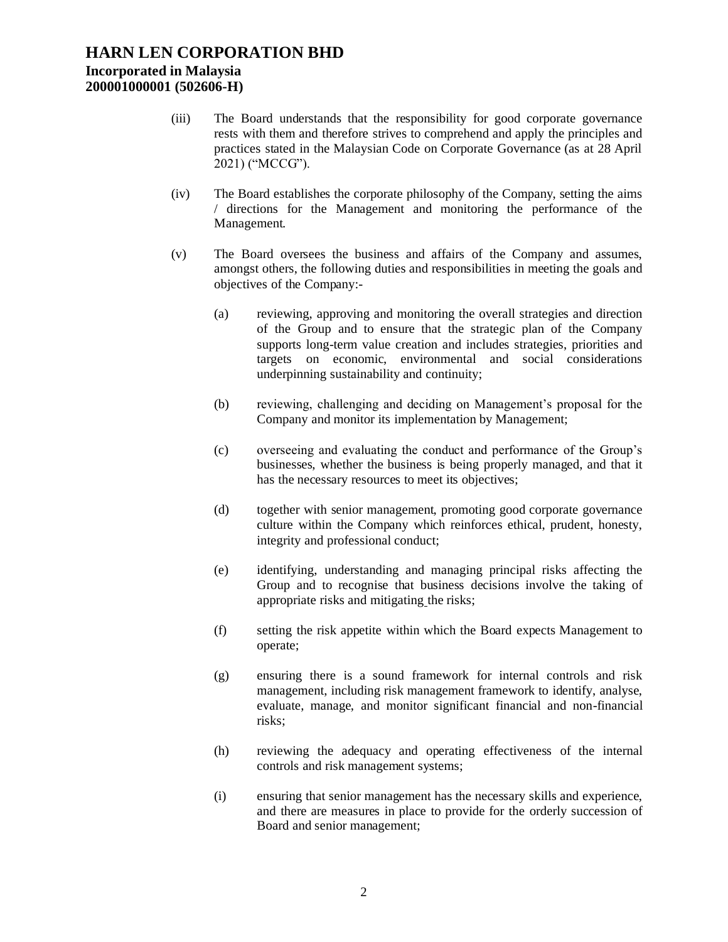- (iii) The Board understands that the responsibility for good corporate governance rests with them and therefore strives to comprehend and apply the principles and practices stated in the Malaysian Code on Corporate Governance (as at 28 April 2021) ("MCCG").
- (iv) The Board establishes the corporate philosophy of the Company, setting the aims / directions for the Management and monitoring the performance of the Management.
- (v) The Board oversees the business and affairs of the Company and assumes, amongst others, the following duties and responsibilities in meeting the goals and objectives of the Company:-
	- (a) reviewing, approving and monitoring the overall strategies and direction of the Group and to ensure that the strategic plan of the Company supports long-term value creation and includes strategies, priorities and targets on economic, environmental and social considerations underpinning sustainability and continuity;
	- (b) reviewing, challenging and deciding on Management's proposal for the Company and monitor its implementation by Management;
	- (c) overseeing and evaluating the conduct and performance of the Group's businesses, whether the business is being properly managed, and that it has the necessary resources to meet its objectives;
	- (d) together with senior management, promoting good corporate governance culture within the Company which reinforces ethical, prudent, honesty, integrity and professional conduct;
	- (e) identifying, understanding and managing principal risks affecting the Group and to recognise that business decisions involve the taking of appropriate risks and mitigating the risks;
	- (f) setting the risk appetite within which the Board expects Management to operate;
	- (g) ensuring there is a sound framework for internal controls and risk management, including risk management framework to identify, analyse, evaluate, manage, and monitor significant financial and non-financial risks;
	- (h) reviewing the adequacy and operating effectiveness of the internal controls and risk management systems;
	- (i) ensuring that senior management has the necessary skills and experience, and there are measures in place to provide for the orderly succession of Board and senior management;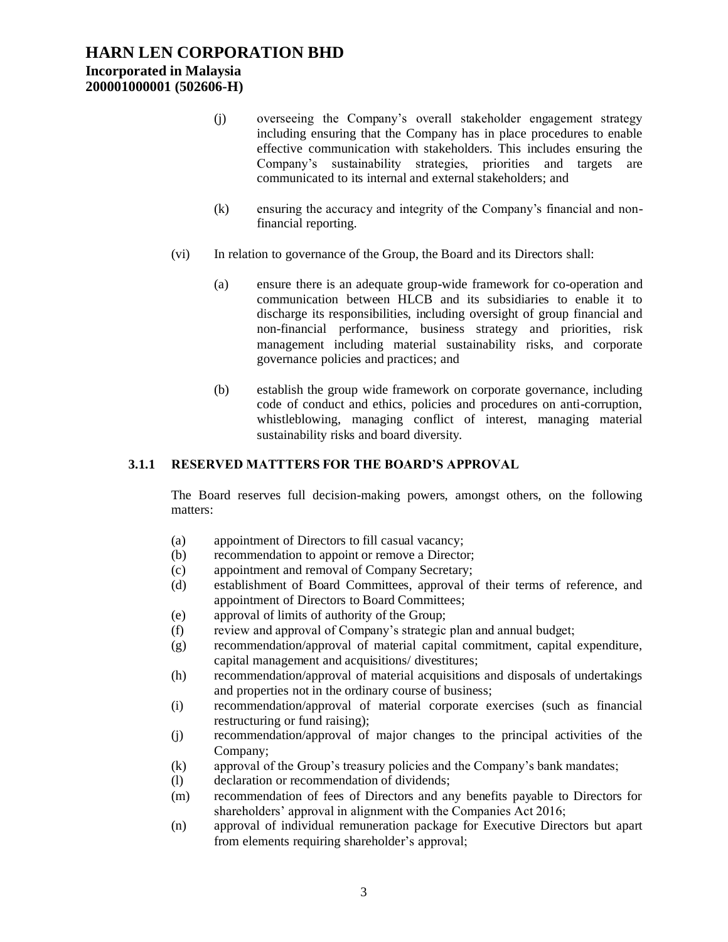## **HARN LEN CORPORATION BHD Incorporated in Malaysia**

**200001000001 (502606-H)**

- (j) overseeing the Company's overall stakeholder engagement strategy including ensuring that the Company has in place procedures to enable effective communication with stakeholders. This includes ensuring the Company's sustainability strategies, priorities and targets are communicated to its internal and external stakeholders; and
- (k) ensuring the accuracy and integrity of the Company's financial and nonfinancial reporting.
- (vi) In relation to governance of the Group, the Board and its Directors shall:
	- (a) ensure there is an adequate group-wide framework for co-operation and communication between HLCB and its subsidiaries to enable it to discharge its responsibilities, including oversight of group financial and non-financial performance, business strategy and priorities, risk management including material sustainability risks, and corporate governance policies and practices; and
	- (b) establish the group wide framework on corporate governance, including code of conduct and ethics, policies and procedures on anti-corruption, whistleblowing, managing conflict of interest, managing material sustainability risks and board diversity.

## **3.1.1 RESERVED MATTTERS FOR THE BOARD'S APPROVAL**

The Board reserves full decision-making powers, amongst others, on the following matters:

- (a) appointment of Directors to fill casual vacancy;
- (b) recommendation to appoint or remove a Director;
- (c) appointment and removal of Company Secretary;
- (d) establishment of Board Committees, approval of their terms of reference, and appointment of Directors to Board Committees;
- (e) approval of limits of authority of the Group;
- (f) review and approval of Company's strategic plan and annual budget;
- (g) recommendation/approval of material capital commitment, capital expenditure, capital management and acquisitions/ divestitures;
- (h) recommendation/approval of material acquisitions and disposals of undertakings and properties not in the ordinary course of business;
- (i) recommendation/approval of material corporate exercises (such as financial restructuring or fund raising);
- (j) recommendation/approval of major changes to the principal activities of the Company;
- (k) approval of the Group's treasury policies and the Company's bank mandates;
- (l) declaration or recommendation of dividends;
- (m) recommendation of fees of Directors and any benefits payable to Directors for shareholders' approval in alignment with the Companies Act 2016;
- (n) approval of individual remuneration package for Executive Directors but apart from elements requiring shareholder's approval;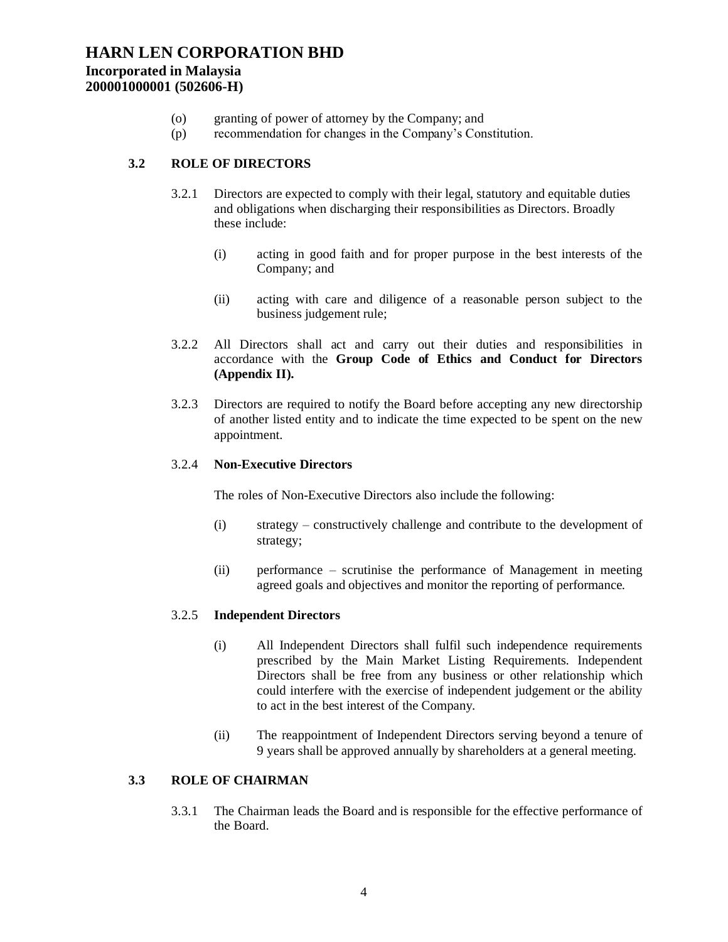## **Incorporated in Malaysia 200001000001 (502606-H)**

- (o) granting of power of attorney by the Company; and
- (p) recommendation for changes in the Company's Constitution.

## **3.2 ROLE OF DIRECTORS**

- 3.2.1 Directors are expected to comply with their legal, statutory and equitable duties and obligations when discharging their responsibilities as Directors. Broadly these include:
	- (i) acting in good faith and for proper purpose in the best interests of the Company; and
	- (ii) acting with care and diligence of a reasonable person subject to the business judgement rule;
- 3.2.2 All Directors shall act and carry out their duties and responsibilities in accordance with the **Group Code of Ethics and Conduct for Directors (Appendix II).**
- 3.2.3 Directors are required to notify the Board before accepting any new directorship of another listed entity and to indicate the time expected to be spent on the new appointment.

### 3.2.4 **Non-Executive Directors**

The roles of Non-Executive Directors also include the following:

- (i) strategy constructively challenge and contribute to the development of strategy;
- (ii) performance scrutinise the performance of Management in meeting agreed goals and objectives and monitor the reporting of performance.

## 3.2.5 **Independent Directors**

- (i) All Independent Directors shall fulfil such independence requirements prescribed by the Main Market Listing Requirements. Independent Directors shall be free from any business or other relationship which could interfere with the exercise of independent judgement or the ability to act in the best interest of the Company.
- (ii) The reappointment of Independent Directors serving beyond a tenure of 9 years shall be approved annually by shareholders at a general meeting.

### **3.3 ROLE OF CHAIRMAN**

3.3.1 The Chairman leads the Board and is responsible for the effective performance of the Board.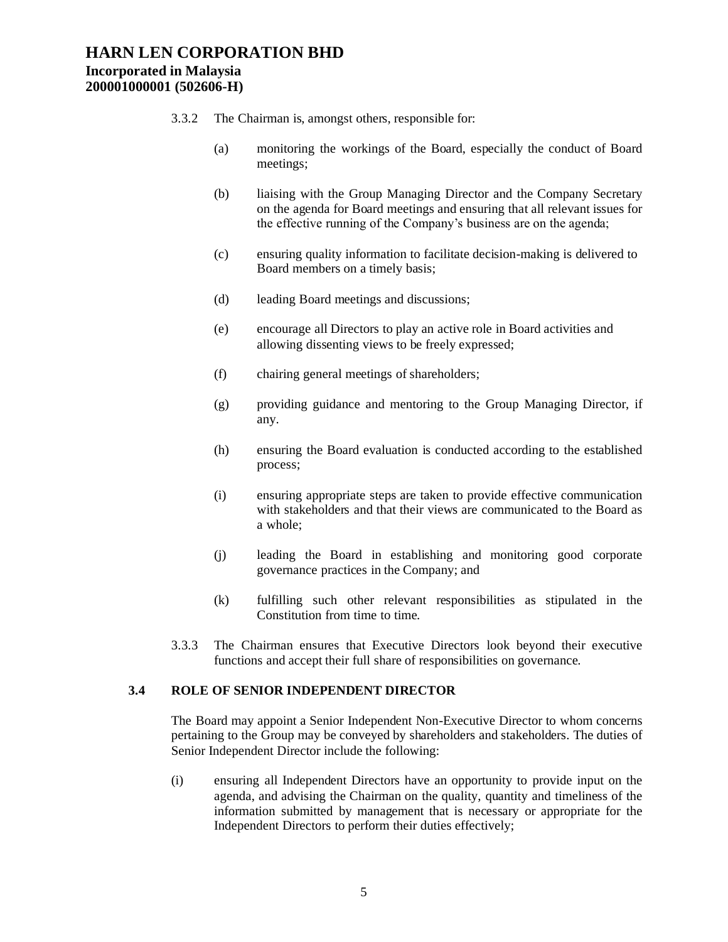- 3.3.2 The Chairman is, amongst others, responsible for:
	- (a) monitoring the workings of the Board, especially the conduct of Board meetings;
	- (b) liaising with the Group Managing Director and the Company Secretary on the agenda for Board meetings and ensuring that all relevant issues for the effective running of the Company's business are on the agenda;
	- (c) ensuring quality information to facilitate decision-making is delivered to Board members on a timely basis;
	- (d) leading Board meetings and discussions;
	- (e) encourage all Directors to play an active role in Board activities and allowing dissenting views to be freely expressed;
	- (f) chairing general meetings of shareholders;
	- (g) providing guidance and mentoring to the Group Managing Director, if any.
	- (h) ensuring the Board evaluation is conducted according to the established process;
	- (i) ensuring appropriate steps are taken to provide effective communication with stakeholders and that their views are communicated to the Board as a whole;
	- (j) leading the Board in establishing and monitoring good corporate governance practices in the Company; and
	- (k) fulfilling such other relevant responsibilities as stipulated in the Constitution from time to time.
- 3.3.3 The Chairman ensures that Executive Directors look beyond their executive functions and accept their full share of responsibilities on governance.

### **3.4 ROLE OF SENIOR INDEPENDENT DIRECTOR**

The Board may appoint a Senior Independent Non-Executive Director to whom concerns pertaining to the Group may be conveyed by shareholders and stakeholders. The duties of Senior Independent Director include the following:

(i) ensuring all Independent Directors have an opportunity to provide input on the agenda, and advising the Chairman on the quality, quantity and timeliness of the information submitted by management that is necessary or appropriate for the Independent Directors to perform their duties effectively;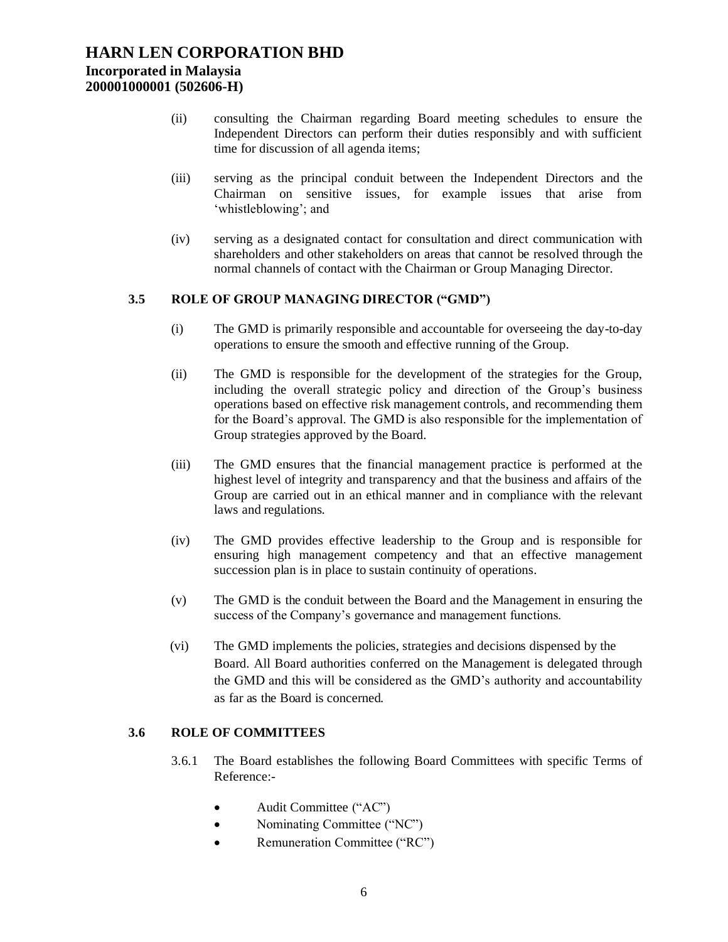- (ii) consulting the Chairman regarding Board meeting schedules to ensure the Independent Directors can perform their duties responsibly and with sufficient time for discussion of all agenda items;
- (iii) serving as the principal conduit between the Independent Directors and the Chairman on sensitive issues, for example issues that arise from 'whistleblowing'; and
- (iv) serving as a designated contact for consultation and direct communication with shareholders and other stakeholders on areas that cannot be resolved through the normal channels of contact with the Chairman or Group Managing Director.

#### **3.5 ROLE OF GROUP MANAGING DIRECTOR ("GMD")**

- (i) The GMD is primarily responsible and accountable for overseeing the day-to-day operations to ensure the smooth and effective running of the Group.
- (ii) The GMD is responsible for the development of the strategies for the Group, including the overall strategic policy and direction of the Group's business operations based on effective risk management controls, and recommending them for the Board's approval. The GMD is also responsible for the implementation of Group strategies approved by the Board.
- (iii) The GMD ensures that the financial management practice is performed at the highest level of integrity and transparency and that the business and affairs of the Group are carried out in an ethical manner and in compliance with the relevant laws and regulations.
- (iv) The GMD provides effective leadership to the Group and is responsible for ensuring high management competency and that an effective management succession plan is in place to sustain continuity of operations.
- (v) The GMD is the conduit between the Board and the Management in ensuring the success of the Company's governance and management functions.
- (vi) The GMD implements the policies, strategies and decisions dispensed by the Board. All Board authorities conferred on the Management is delegated through the GMD and this will be considered as the GMD's authority and accountability as far as the Board is concerned.

### **3.6 ROLE OF COMMITTEES**

- 3.6.1 The Board establishes the following Board Committees with specific Terms of Reference:-
	- Audit Committee ("AC")
	- Nominating Committee ("NC")
	- Remuneration Committee ("RC")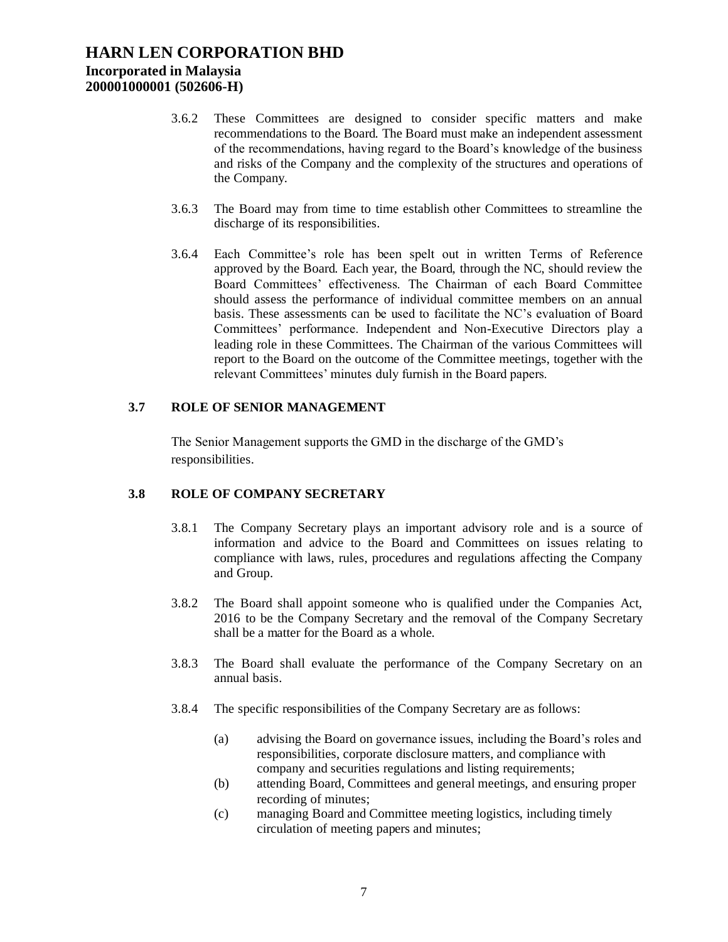- 3.6.2 These Committees are designed to consider specific matters and make recommendations to the Board. The Board must make an independent assessment of the recommendations, having regard to the Board's knowledge of the business and risks of the Company and the complexity of the structures and operations of the Company.
- 3.6.3 The Board may from time to time establish other Committees to streamline the discharge of its responsibilities.
- 3.6.4 Each Committee's role has been spelt out in written Terms of Reference approved by the Board. Each year, the Board, through the NC, should review the Board Committees' effectiveness. The Chairman of each Board Committee should assess the performance of individual committee members on an annual basis. These assessments can be used to facilitate the NC's evaluation of Board Committees' performance. Independent and Non-Executive Directors play a leading role in these Committees. The Chairman of the various Committees will report to the Board on the outcome of the Committee meetings, together with the relevant Committees' minutes duly furnish in the Board papers.

#### **3.7 ROLE OF SENIOR MANAGEMENT**

The Senior Management supports the GMD in the discharge of the GMD's responsibilities.

### **3.8 ROLE OF COMPANY SECRETARY**

- 3.8.1 The Company Secretary plays an important advisory role and is a source of information and advice to the Board and Committees on issues relating to compliance with laws, rules, procedures and regulations affecting the Company and Group.
- 3.8.2 The Board shall appoint someone who is qualified under the Companies Act, 2016 to be the Company Secretary and the removal of the Company Secretary shall be a matter for the Board as a whole.
- 3.8.3 The Board shall evaluate the performance of the Company Secretary on an annual basis.
- 3.8.4 The specific responsibilities of the Company Secretary are as follows:
	- (a) advising the Board on governance issues, including the Board's roles and responsibilities, corporate disclosure matters, and compliance with company and securities regulations and listing requirements;
	- (b) attending Board, Committees and general meetings, and ensuring proper recording of minutes;
	- (c) managing Board and Committee meeting logistics, including timely circulation of meeting papers and minutes;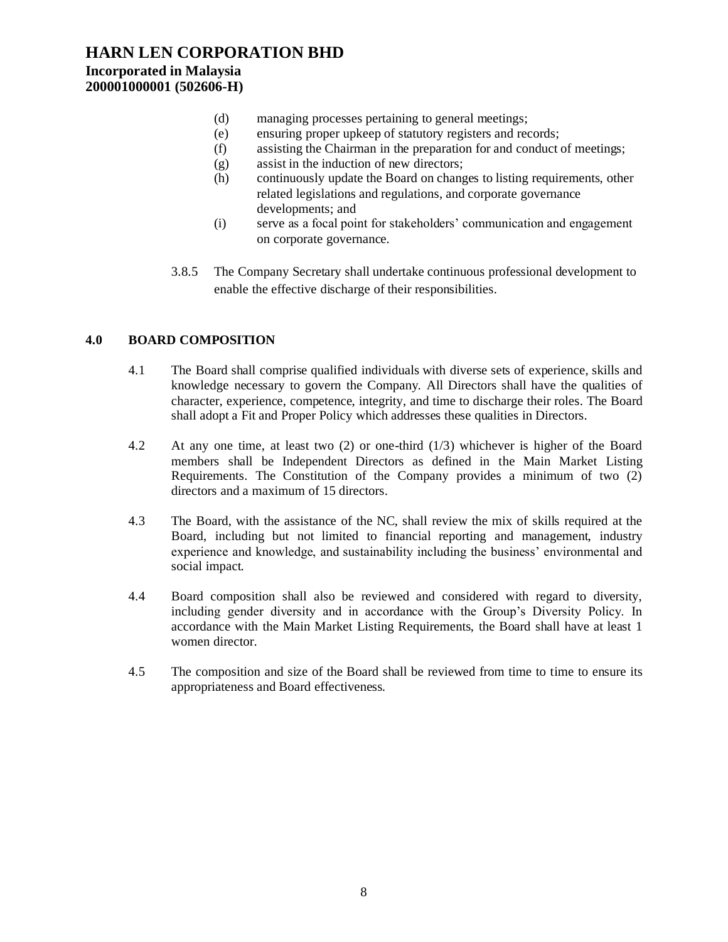## **Incorporated in Malaysia 200001000001 (502606-H)**

- (d) managing processes pertaining to general meetings;
- (e) ensuring proper upkeep of statutory registers and records;
- (f) assisting the Chairman in the preparation for and conduct of meetings;
- (g) assist in the induction of new directors;
- (h) continuously update the Board on changes to listing requirements, other related legislations and regulations, and corporate governance developments; and
- (i) serve as a focal point for stakeholders' communication and engagement on corporate governance.
- 3.8.5 The Company Secretary shall undertake continuous professional development to enable the effective discharge of their responsibilities.

## **4.0 BOARD COMPOSITION**

- 4.1 The Board shall comprise qualified individuals with diverse sets of experience, skills and knowledge necessary to govern the Company. All Directors shall have the qualities of character, experience, competence, integrity, and time to discharge their roles. The Board shall adopt a Fit and Proper Policy which addresses these qualities in Directors.
- 4.2 At any one time, at least two (2) or one-third (1/3) whichever is higher of the Board members shall be Independent Directors as defined in the Main Market Listing Requirements. The Constitution of the Company provides a minimum of two (2) directors and a maximum of 15 directors.
- 4.3 The Board, with the assistance of the NC, shall review the mix of skills required at the Board, including but not limited to financial reporting and management, industry experience and knowledge, and sustainability including the business' environmental and social impact.
- 4.4 Board composition shall also be reviewed and considered with regard to diversity, including gender diversity and in accordance with the Group's Diversity Policy. In accordance with the Main Market Listing Requirements, the Board shall have at least 1 women director.
- 4.5 The composition and size of the Board shall be reviewed from time to time to ensure its appropriateness and Board effectiveness.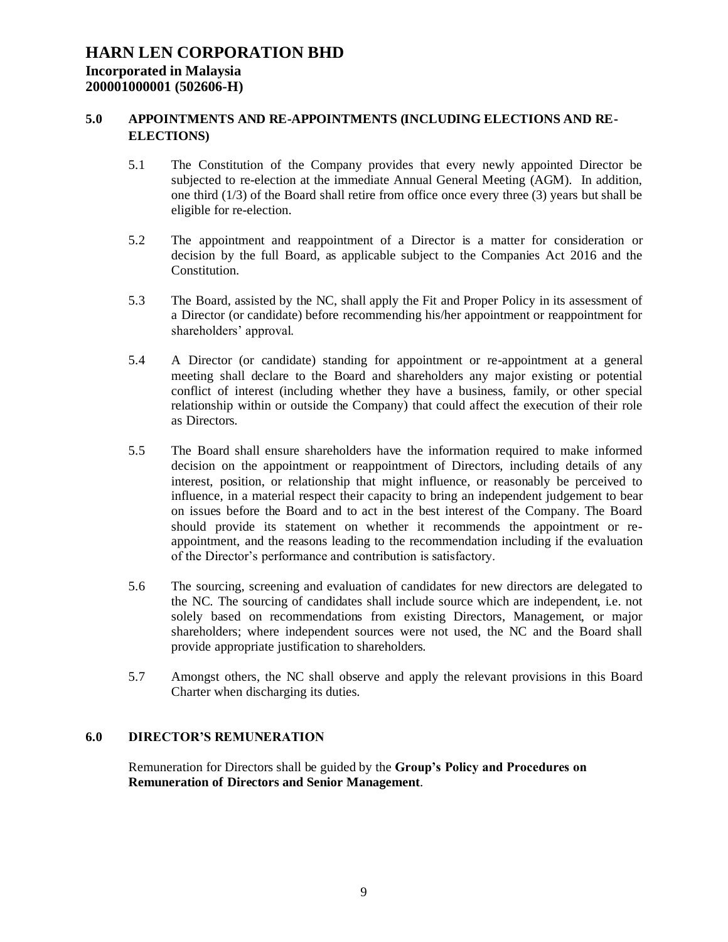### **5.0 APPOINTMENTS AND RE-APPOINTMENTS (INCLUDING ELECTIONS AND RE-ELECTIONS)**

- 5.1 The Constitution of the Company provides that every newly appointed Director be subjected to re-election at the immediate Annual General Meeting (AGM). In addition, one third (1/3) of the Board shall retire from office once every three (3) years but shall be eligible for re-election.
- 5.2 The appointment and reappointment of a Director is a matter for consideration or decision by the full Board, as applicable subject to the Companies Act 2016 and the Constitution.
- 5.3 The Board, assisted by the NC, shall apply the Fit and Proper Policy in its assessment of a Director (or candidate) before recommending his/her appointment or reappointment for shareholders' approval.
- 5.4 A Director (or candidate) standing for appointment or re-appointment at a general meeting shall declare to the Board and shareholders any major existing or potential conflict of interest (including whether they have a business, family, or other special relationship within or outside the Company) that could affect the execution of their role as Directors.
- 5.5 The Board shall ensure shareholders have the information required to make informed decision on the appointment or reappointment of Directors, including details of any interest, position, or relationship that might influence, or reasonably be perceived to influence, in a material respect their capacity to bring an independent judgement to bear on issues before the Board and to act in the best interest of the Company. The Board should provide its statement on whether it recommends the appointment or reappointment, and the reasons leading to the recommendation including if the evaluation of the Director's performance and contribution is satisfactory.
- 5.6 The sourcing, screening and evaluation of candidates for new directors are delegated to the NC. The sourcing of candidates shall include source which are independent, i.e. not solely based on recommendations from existing Directors, Management, or major shareholders; where independent sources were not used, the NC and the Board shall provide appropriate justification to shareholders.
- 5.7 Amongst others, the NC shall observe and apply the relevant provisions in this Board Charter when discharging its duties.

### **6.0 DIRECTOR'S REMUNERATION**

Remuneration for Directors shall be guided by the **Group's Policy and Procedures on Remuneration of Directors and Senior Management**.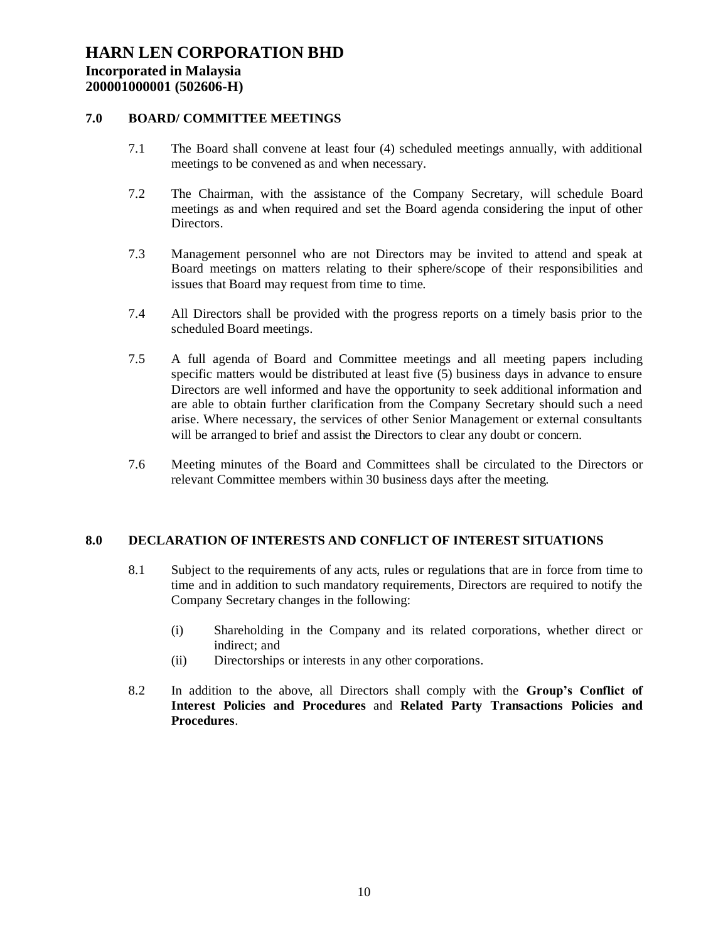### **7.0 BOARD/ COMMITTEE MEETINGS**

- 7.1 The Board shall convene at least four (4) scheduled meetings annually, with additional meetings to be convened as and when necessary.
- 7.2 The Chairman, with the assistance of the Company Secretary, will schedule Board meetings as and when required and set the Board agenda considering the input of other Directors.
- 7.3 Management personnel who are not Directors may be invited to attend and speak at Board meetings on matters relating to their sphere/scope of their responsibilities and issues that Board may request from time to time.
- 7.4 All Directors shall be provided with the progress reports on a timely basis prior to the scheduled Board meetings.
- 7.5 A full agenda of Board and Committee meetings and all meeting papers including specific matters would be distributed at least five (5) business days in advance to ensure Directors are well informed and have the opportunity to seek additional information and are able to obtain further clarification from the Company Secretary should such a need arise. Where necessary, the services of other Senior Management or external consultants will be arranged to brief and assist the Directors to clear any doubt or concern.
- 7.6 Meeting minutes of the Board and Committees shall be circulated to the Directors or relevant Committee members within 30 business days after the meeting.

### **8.0 DECLARATION OF INTERESTS AND CONFLICT OF INTEREST SITUATIONS**

- 8.1 Subject to the requirements of any acts, rules or regulations that are in force from time to time and in addition to such mandatory requirements, Directors are required to notify the Company Secretary changes in the following:
	- (i) Shareholding in the Company and its related corporations, whether direct or indirect; and
	- (ii) Directorships or interests in any other corporations.
- 8.2 In addition to the above, all Directors shall comply with the **Group's Conflict of Interest Policies and Procedures** and **Related Party Transactions Policies and Procedures**.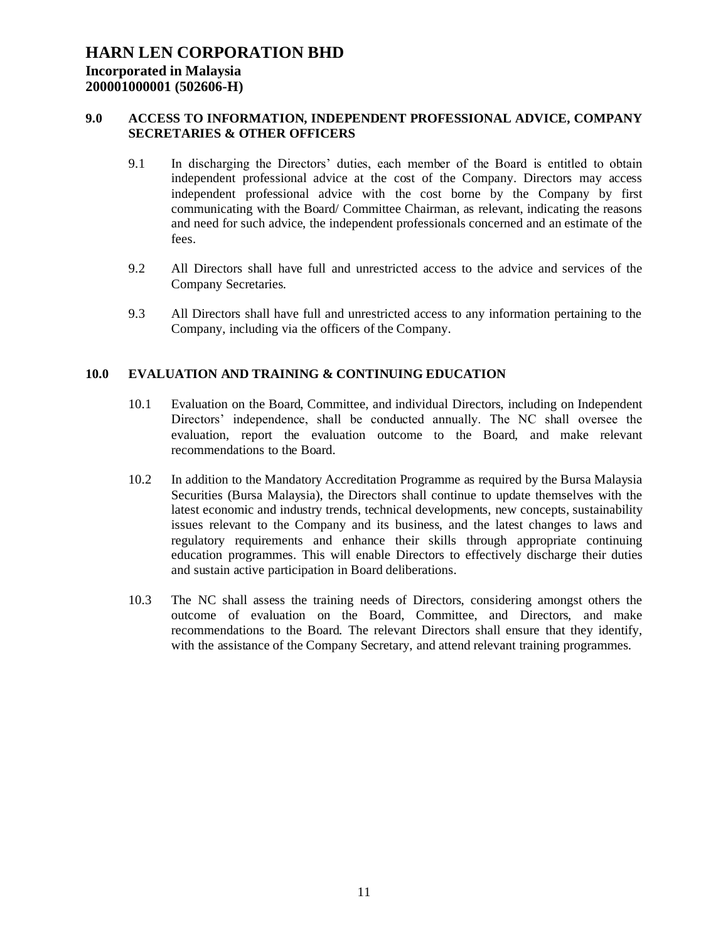### **9.0 ACCESS TO INFORMATION, INDEPENDENT PROFESSIONAL ADVICE, COMPANY SECRETARIES & OTHER OFFICERS**

- 9.1 In discharging the Directors' duties, each member of the Board is entitled to obtain independent professional advice at the cost of the Company. Directors may access independent professional advice with the cost borne by the Company by first communicating with the Board/ Committee Chairman, as relevant, indicating the reasons and need for such advice, the independent professionals concerned and an estimate of the fees.
- 9.2 All Directors shall have full and unrestricted access to the advice and services of the Company Secretaries.
- 9.3 All Directors shall have full and unrestricted access to any information pertaining to the Company, including via the officers of the Company.

### **10.0 EVALUATION AND TRAINING & CONTINUING EDUCATION**

- 10.1 Evaluation on the Board, Committee, and individual Directors, including on Independent Directors' independence, shall be conducted annually. The NC shall oversee the evaluation, report the evaluation outcome to the Board, and make relevant recommendations to the Board.
- 10.2 In addition to the Mandatory Accreditation Programme as required by the Bursa Malaysia Securities (Bursa Malaysia), the Directors shall continue to update themselves with the latest economic and industry trends, technical developments, new concepts, sustainability issues relevant to the Company and its business, and the latest changes to laws and regulatory requirements and enhance their skills through appropriate continuing education programmes. This will enable Directors to effectively discharge their duties and sustain active participation in Board deliberations.
- 10.3 The NC shall assess the training needs of Directors, considering amongst others the outcome of evaluation on the Board, Committee, and Directors, and make recommendations to the Board. The relevant Directors shall ensure that they identify, with the assistance of the Company Secretary, and attend relevant training programmes.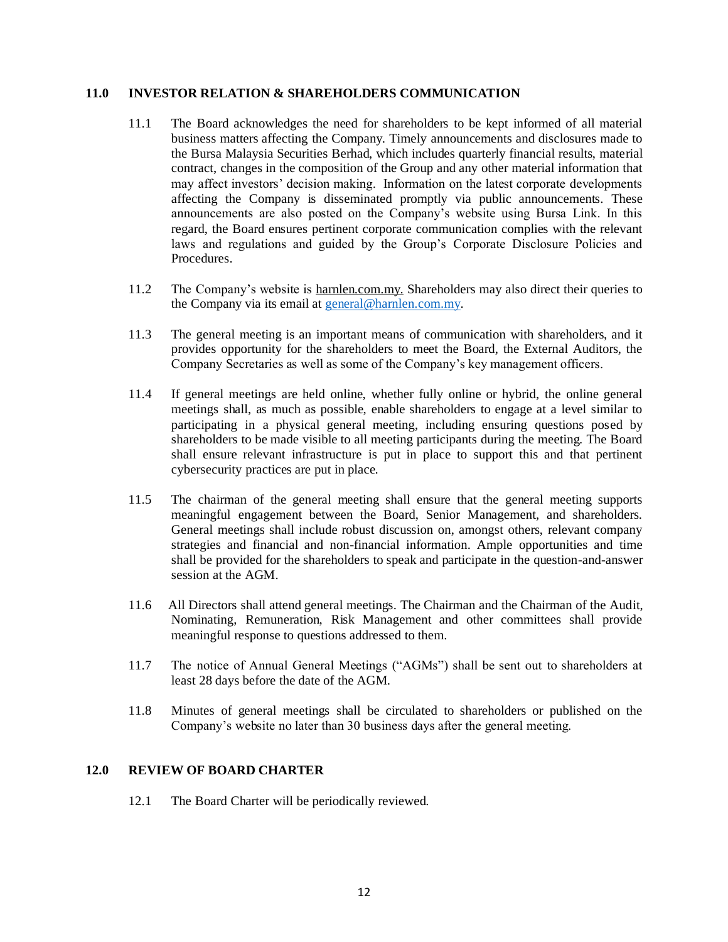#### **11.0 INVESTOR RELATION & SHAREHOLDERS COMMUNICATION**

- 11.1 The Board acknowledges the need for shareholders to be kept informed of all material business matters affecting the Company. Timely announcements and disclosures made to the Bursa Malaysia Securities Berhad, which includes quarterly financial results, material contract, changes in the composition of the Group and any other material information that may affect investors' decision making. Information on the latest corporate developments affecting the Company is disseminated promptly via public announcements. These announcements are also posted on the Company's website using Bursa Link. In this regard, the Board ensures pertinent corporate communication complies with the relevant laws and regulations and guided by the Group's Corporate Disclosure Policies and Procedures.
- 11.2 The Company's website is harnlen.com.my. Shareholders may also direct their queries to the Company via its email at [general@harnlen.com.my.](mailto:general@harnlen.com.my)
- 11.3 The general meeting is an important means of communication with shareholders, and it provides opportunity for the shareholders to meet the Board, the External Auditors, the Company Secretaries as well as some of the Company's key management officers.
- 11.4 If general meetings are held online, whether fully online or hybrid, the online general meetings shall, as much as possible, enable shareholders to engage at a level similar to participating in a physical general meeting, including ensuring questions posed by shareholders to be made visible to all meeting participants during the meeting. The Board shall ensure relevant infrastructure is put in place to support this and that pertinent cybersecurity practices are put in place.
- 11.5 The chairman of the general meeting shall ensure that the general meeting supports meaningful engagement between the Board, Senior Management, and shareholders. General meetings shall include robust discussion on, amongst others, relevant company strategies and financial and non-financial information. Ample opportunities and time shall be provided for the shareholders to speak and participate in the question-and-answer session at the AGM.
- 11.6 All Directors shall attend general meetings. The Chairman and the Chairman of the Audit, Nominating, Remuneration, Risk Management and other committees shall provide meaningful response to questions addressed to them.
- 11.7 The notice of Annual General Meetings ("AGMs") shall be sent out to shareholders at least 28 days before the date of the AGM.
- 11.8 Minutes of general meetings shall be circulated to shareholders or published on the Company's website no later than 30 business days after the general meeting.

### **12.0 REVIEW OF BOARD CHARTER**

12.1 The Board Charter will be periodically reviewed.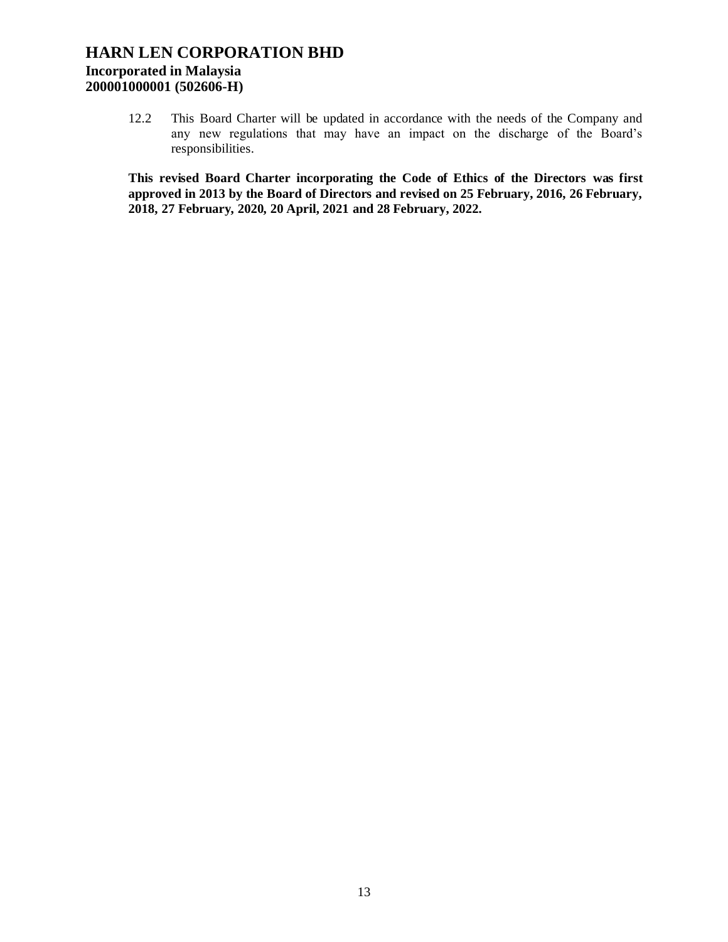12.2 This Board Charter will be updated in accordance with the needs of the Company and any new regulations that may have an impact on the discharge of the Board's responsibilities.

**This revised Board Charter incorporating the Code of Ethics of the Directors was first approved in 2013 by the Board of Directors and revised on 25 February, 2016, 26 February, 2018, 27 February, 2020, 20 April, 2021 and 28 February, 2022.**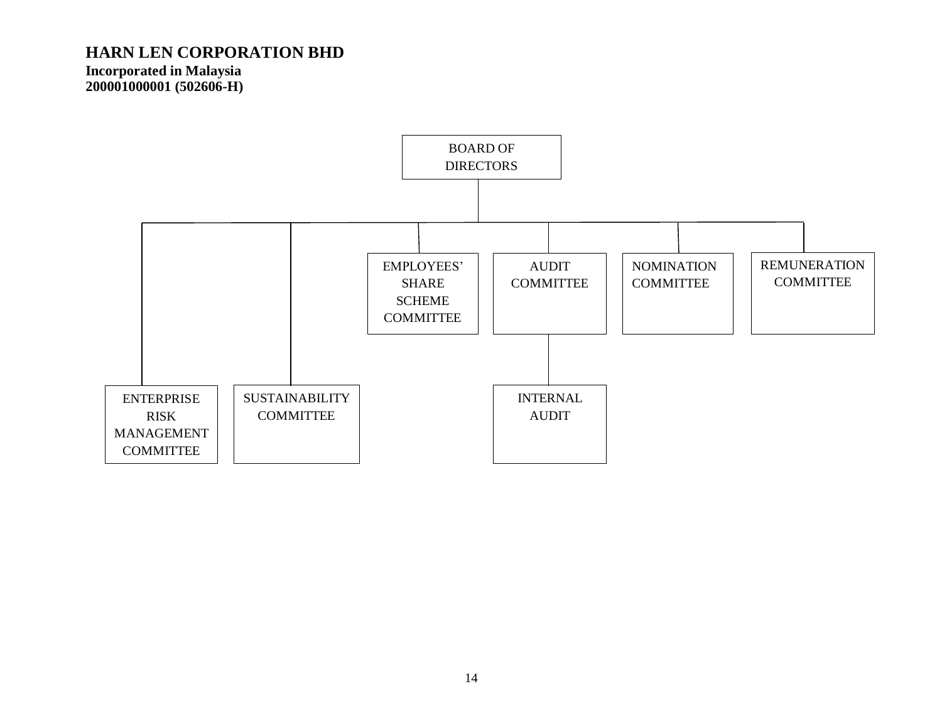**Incorporated in Malaysia 200001000001 (502606-H)**

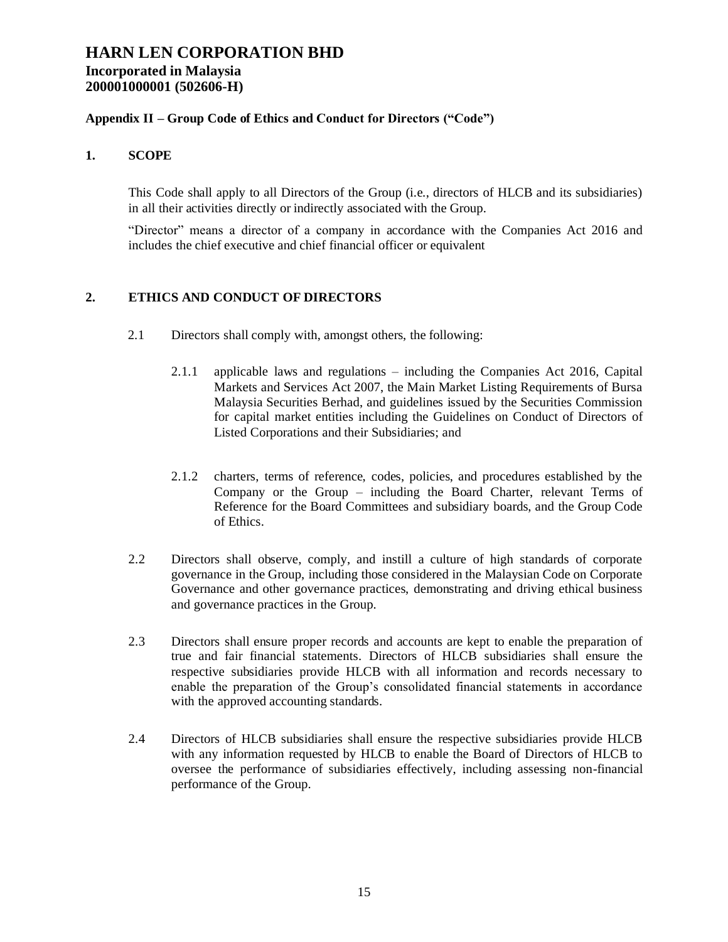## **Incorporated in Malaysia 200001000001 (502606-H)**

## **Appendix II – Group Code of Ethics and Conduct for Directors ("Code")**

### **1. SCOPE**

This Code shall apply to all Directors of the Group (i.e., directors of HLCB and its subsidiaries) in all their activities directly or indirectly associated with the Group.

"Director" means a director of a company in accordance with the Companies Act 2016 and includes the chief executive and chief financial officer or equivalent

## **2. ETHICS AND CONDUCT OF DIRECTORS**

- 2.1 Directors shall comply with, amongst others, the following:
	- 2.1.1 applicable laws and regulations including the Companies Act 2016, Capital Markets and Services Act 2007, the Main Market Listing Requirements of Bursa Malaysia Securities Berhad, and guidelines issued by the Securities Commission for capital market entities including the Guidelines on Conduct of Directors of Listed Corporations and their Subsidiaries; and
	- 2.1.2 charters, terms of reference, codes, policies, and procedures established by the Company or the Group – including the Board Charter, relevant Terms of Reference for the Board Committees and subsidiary boards, and the Group Code of Ethics.
- 2.2 Directors shall observe, comply, and instill a culture of high standards of corporate governance in the Group, including those considered in the Malaysian Code on Corporate Governance and other governance practices, demonstrating and driving ethical business and governance practices in the Group.
- 2.3 Directors shall ensure proper records and accounts are kept to enable the preparation of true and fair financial statements. Directors of HLCB subsidiaries shall ensure the respective subsidiaries provide HLCB with all information and records necessary to enable the preparation of the Group's consolidated financial statements in accordance with the approved accounting standards.
- 2.4 Directors of HLCB subsidiaries shall ensure the respective subsidiaries provide HLCB with any information requested by HLCB to enable the Board of Directors of HLCB to oversee the performance of subsidiaries effectively, including assessing non-financial performance of the Group.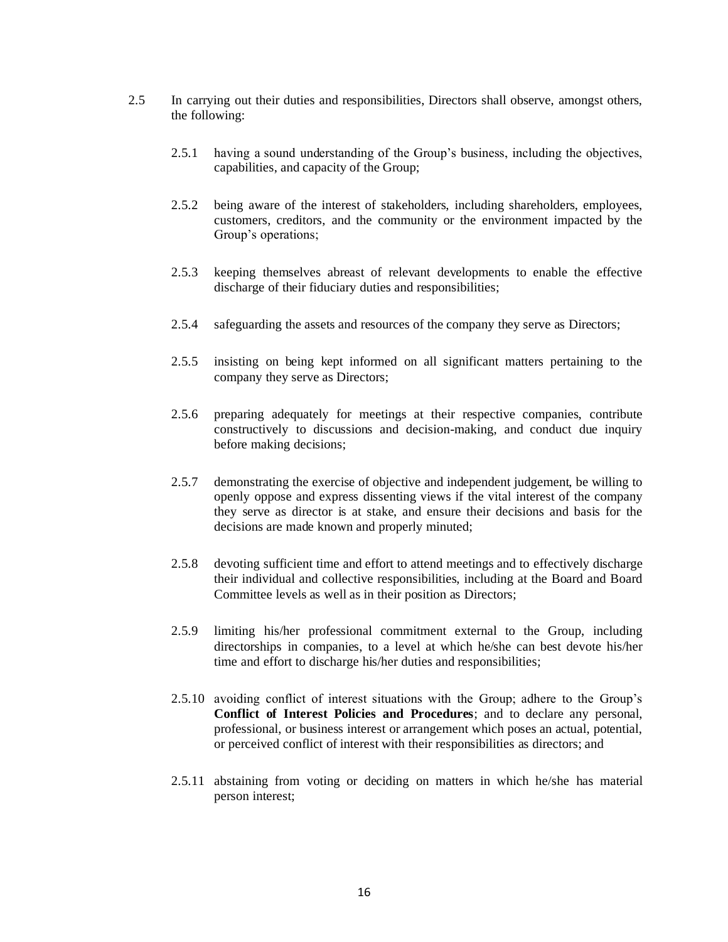- 2.5 In carrying out their duties and responsibilities, Directors shall observe, amongst others, the following:
	- 2.5.1 having a sound understanding of the Group's business, including the objectives, capabilities, and capacity of the Group;
	- 2.5.2 being aware of the interest of stakeholders, including shareholders, employees, customers, creditors, and the community or the environment impacted by the Group's operations;
	- 2.5.3 keeping themselves abreast of relevant developments to enable the effective discharge of their fiduciary duties and responsibilities;
	- 2.5.4 safeguarding the assets and resources of the company they serve as Directors;
	- 2.5.5 insisting on being kept informed on all significant matters pertaining to the company they serve as Directors;
	- 2.5.6 preparing adequately for meetings at their respective companies, contribute constructively to discussions and decision-making, and conduct due inquiry before making decisions;
	- 2.5.7 demonstrating the exercise of objective and independent judgement, be willing to openly oppose and express dissenting views if the vital interest of the company they serve as director is at stake, and ensure their decisions and basis for the decisions are made known and properly minuted;
	- 2.5.8 devoting sufficient time and effort to attend meetings and to effectively discharge their individual and collective responsibilities, including at the Board and Board Committee levels as well as in their position as Directors;
	- 2.5.9 limiting his/her professional commitment external to the Group, including directorships in companies, to a level at which he/she can best devote his/her time and effort to discharge his/her duties and responsibilities;
	- 2.5.10 avoiding conflict of interest situations with the Group; adhere to the Group's **Conflict of Interest Policies and Procedures**; and to declare any personal, professional, or business interest or arrangement which poses an actual, potential, or perceived conflict of interest with their responsibilities as directors; and
	- 2.5.11 abstaining from voting or deciding on matters in which he/she has material person interest;